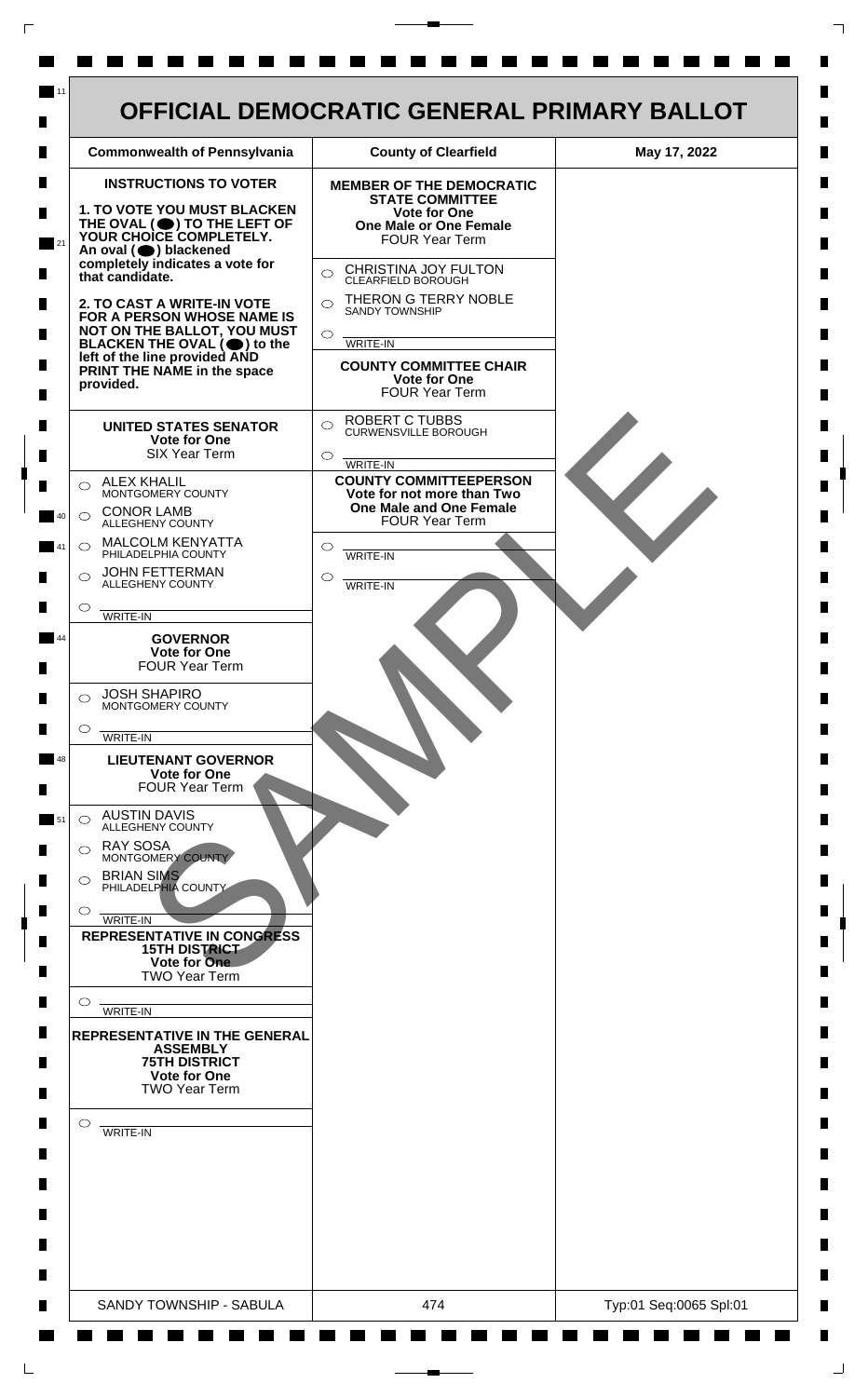

 $\mathsf{L}$